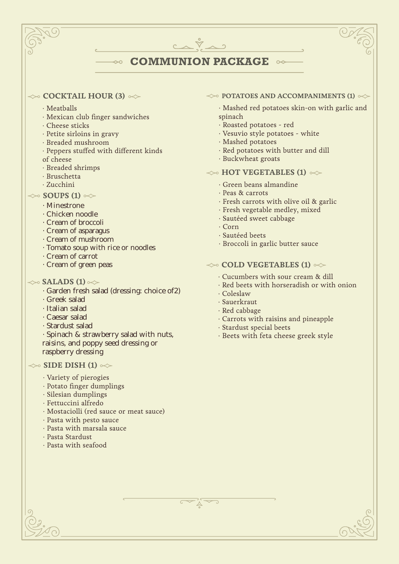# **COMMUNION PACKAGE**

### $\iff$  **COCKTAIL HOUR (3)**  $\iff$

- ∙ Meatballs
- ∙ Mexican club finger sandwiches

 $\rightsquigarrow$ 

- ∙ Cheese sticks
- ∙ Petite sirloins in gravy
- ∙ Breaded mushroom
- Peppers stuffed with different kinds
- of cheese
- ∙ Breaded shrimps
- ∙ Bruschetta
- ∙ Zucchini

## $\gg$  **SOUPS (1)**  $\ll$

- · Minestrone
- · Chicken noodle
- · Cream of broccoli
- · Cream of asparagus
- · Cream of mushroom
- · Tomato soup with rice or noodles
- · Cream of carrot
- · Cream of green peas

## $\gg$  **SALADS (1)**  $\ll$

- · Garden fresh salad (dressing: choice of2)
- · Greek salad
- · Italian salad
- · Caesar salad
- · Stardust salad
- · Spinach & strawberry salad with nuts, raisins, and poppy seed dressing or raspberry dressing

### $\gg$  **SIDE DISH (1)**  $\gg$

- · Variety of pierogies
- · Potato finger dumplings
- · Silesian dumplings
- · Fettuccini alfredo
- · Mostaciolli (red sauce or meat sauce)
- · Pasta with pesto sauce
- · Pasta with marsala sauce
- · Pasta Stardust
- · Pasta with seafood

#### $\leftrightarrow$  **POTATOES AND ACCOMPANIMENTS (1)**  $\leftrightarrow$

- · Mashed red potatoes skin-on with garlic and spinach
- · Roasted potatoes red
- · Vesuvio style potatoes white
- · Mashed potatoes
- · Red potatoes with butter and dill
- · Buckwheat groats

## $\leftrightarrow$  **HOT VEGETABLES (1)**  $\leftrightarrow$

- · Green beans almandine
- · Peas & carrots
- · Fresh carrots with olive oil & garlic
- · Fresh vegetable medley, mixed
- · Sautéed sweet cabbage
- · Corn
- · Sautéed beets
- · Broccoli in garlic butter sauce

### $\leftrightarrow$  **COLD VEGETABLES (1)**  $\leftrightarrow$

- · Cucumbers with sour cream & dill
- · Red beets with horseradish or with onion
- · Coleslaw
- · Sauerkraut
- · Red cabbage
- · Carrots with raisins and pineapple
- · Stardust special beets
- · Beets with feta cheese greek style